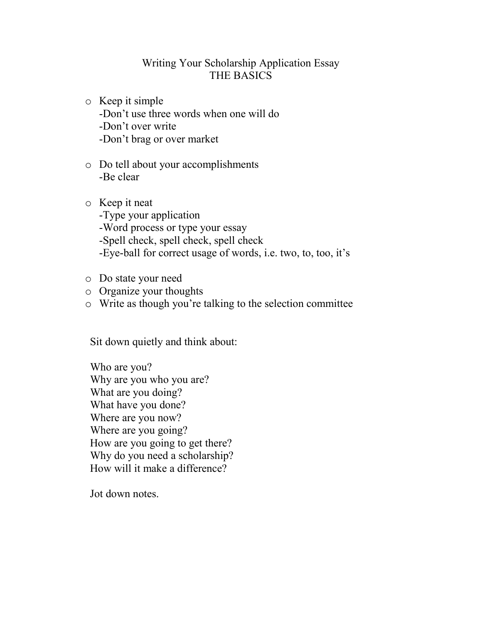## Writing Your Scholarship Application Essay THE BASICS

- o Keep it simple -Don't use three words when one will do -Don't over write -Don't brag or over market
- o Do tell about your accomplishments -Be clear
- o Keep it neat -Type your application -Word process or type your essay -Spell check, spell check, spell check -Eye-ball for correct usage of words, i.e. two, to, too, it's
- o Do state your need
- o Organize your thoughts
- o Write as though you're talking to the selection committee

Sit down quietly and think about:

Who are you? Why are you who you are? What are you doing? What have you done? Where are you now? Where are you going? How are you going to get there? Why do you need a scholarship? How will it make a difference?

Jot down notes.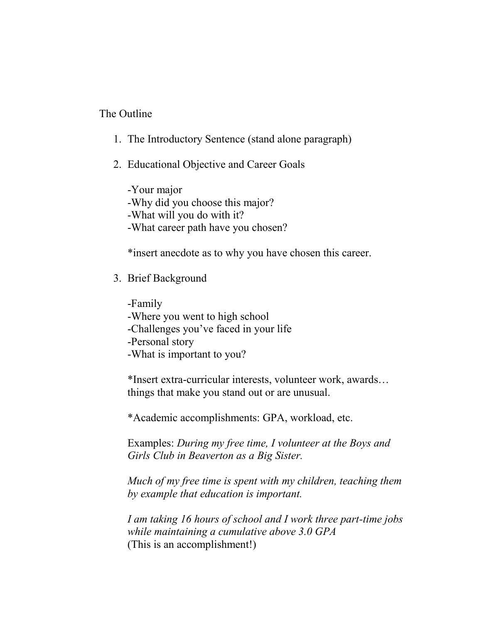## The Outline

- 1. The Introductory Sentence (stand alone paragraph)
- 2. Educational Objective and Career Goals

-Your major -Why did you choose this major? -What will you do with it? -What career path have you chosen?

\*insert anecdote as to why you have chosen this career.

3. Brief Background

-Family -Where you went to high school -Challenges you've faced in your life -Personal story -What is important to you?

\*Insert extra-curricular interests, volunteer work, awards… things that make you stand out or are unusual.

\*Academic accomplishments: GPA, workload, etc.

Examples: *During my free time, I volunteer at the Boys and Girls Club in Beaverton as a Big Sister.*

*Much of my free time is spent with my children, teaching them by example that education is important.*

*I am taking 16 hours of school and I work three part-time jobs while maintaining a cumulative above 3.0 GPA* (This is an accomplishment!)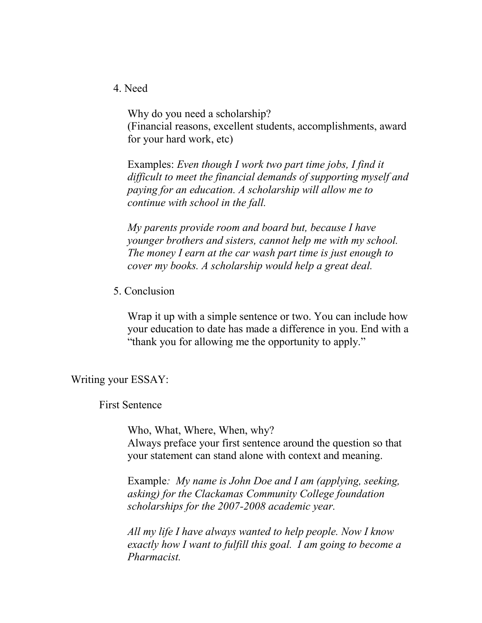4. Need

Why do you need a scholarship? (Financial reasons, excellent students, accomplishments, award for your hard work, etc)

Examples: *Even though I work two part time jobs, I find it difficult to meet the financial demands of supporting myself and paying for an education. A scholarship will allow me to continue with school in the fall.*

*My parents provide room and board but, because I have younger brothers and sisters, cannot help me with my school. The money I earn at the car wash part time is just enough to cover my books. A scholarship would help a great deal.*

5. Conclusion

Wrap it up with a simple sentence or two. You can include how your education to date has made a difference in you. End with a "thank you for allowing me the opportunity to apply."

Writing your ESSAY:

First Sentence

Who, What, Where, When, why? Always preface your first sentence around the question so that your statement can stand alone with context and meaning.

Example*: My name is John Doe and I am (applying, seeking, asking) for the Clackamas Community College foundation scholarships for the 2007-2008 academic year.*

*All my life I have always wanted to help people. Now I know exactly how I want to fulfill this goal. I am going to become a Pharmacist.*